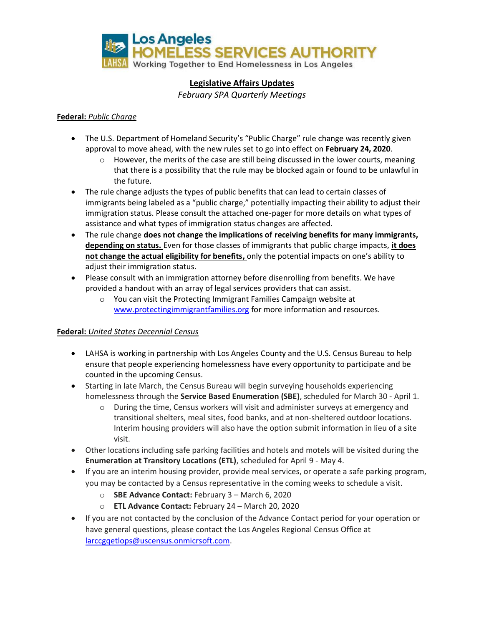

# **Legislative Affairs Updates**

*February SPA Quarterly Meetings*

## **Federal:** *Public Charge*

- The U.S. Department of Homeland Security's "Public Charge" rule change was recently given approval to move ahead, with the new rules set to go into effect on **February 24, 2020**.
	- $\circ$  However, the merits of the case are still being discussed in the lower courts, meaning that there is a possibility that the rule may be blocked again or found to be unlawful in the future.
- The rule change adjusts the types of public benefits that can lead to certain classes of immigrants being labeled as a "public charge," potentially impacting their ability to adjust their immigration status. Please consult the attached one-pager for more details on what types of assistance and what types of immigration status changes are affected.
- The rule change **does not change the implications of receiving benefits for many immigrants, depending on status.** Even for those classes of immigrants that public charge impacts, **it does not change the actual eligibility for benefits,** only the potential impacts on one's ability to adjust their immigration status.
- Please consult with an immigration attorney before disenrolling from benefits. We have provided a handout with an array of legal services providers that can assist.
	- o You can visit the Protecting Immigrant Families Campaign website at [www.protectingimmigrantfamilies.org](http://www.protectingimmigrantfamilies.org/) for more information and resources.

## **Federal:** *United States Decennial Census*

- LAHSA is working in partnership with Los Angeles County and the U.S. Census Bureau to help ensure that people experiencing homelessness have every opportunity to participate and be counted in the upcoming Census.
- Starting in late March, the Census Bureau will begin surveying households experiencing homelessness through the **Service Based Enumeration (SBE)**, scheduled for March 30 - April 1.
	- o During the time, Census workers will visit and administer surveys at emergency and transitional shelters, meal sites, food banks, and at non-sheltered outdoor locations. Interim housing providers will also have the option submit information in lieu of a site visit.
- Other locations including safe parking facilities and hotels and motels will be visited during the **Enumeration at Transitory Locations (ETL)**, scheduled for April 9 - May 4.
- If you are an interim housing provider, provide meal services, or operate a safe parking program, you may be contacted by a Census representative in the coming weeks to schedule a visit.
	- o **SBE Advance Contact:** February 3 March 6, 2020
	- o **ETL Advance Contact:** February 24 March 20, 2020
- If you are not contacted by the conclusion of the Advance Contact period for your operation or have general questions, please contact the Los Angeles Regional Census Office at [larccgqetlops@uscensus.onmicrsoft.com.](mailto:larccgqetlops@uscensus.onmicrsoft.com)